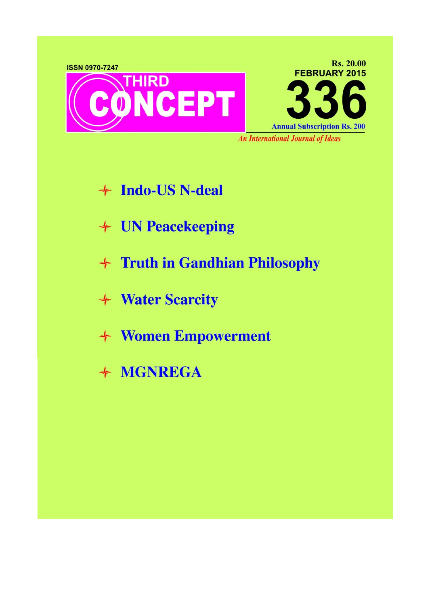

- + Indo-US N-deal
- + UN Peacekeeping
- + Truth in Gandhian Philosophy
- + Water Scarcity
- + Women Empowerment
- + MGNREGA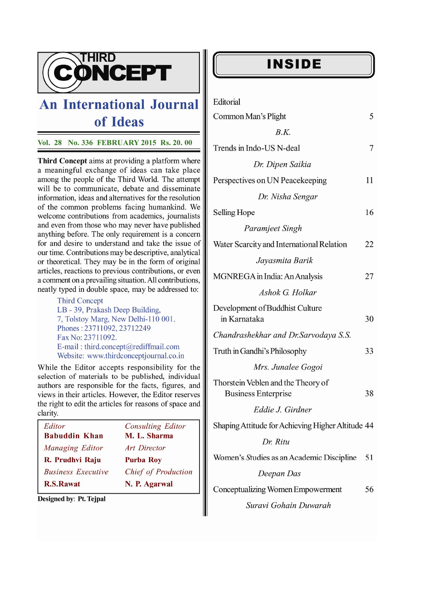

## **An International Journal** of Ideas

Vol. 28 No. 336 FEBRUARY 2015 Rs. 20. 00

Third Concept aims at providing a platform where a meaningful exchange of ideas can take place among the people of the Third World. The attempt will be to communicate, debate and disseminate information, ideas and alternatives for the resolution of the common problems facing humankind. We welcome contributions from academics, journalists and even from those who may never have published anything before. The only requirement is a concern for and desire to understand and take the issue of our time. Contributions may be descriptive, analytical or theoretical. They may be in the form of original articles, reactions to previous contributions, or even a comment on a prevailing situation. All contributions, neatly typed in double space, may be addressed to:

> **Third Concept** LB - 39, Prakash Deep Building, 7, Tolstoy Marg, New Delhi-110 001. Phones: 23711092, 23712249 Fax No: 23711092. E-mail: third.concept@rediffmail.com Website: www.thirdconceptjournal.co.in

While the Editor accepts responsibility for the selection of materials to be published, individual authors are responsible for the facts, figures, and views in their articles. However, the Editor reserves the right to edit the articles for reasons of space and clarity.

| Editor                    | <b>Consulting Editor</b> |
|---------------------------|--------------------------|
| <b>Babuddin Khan</b>      | M. L. Sharma             |
| Managing Editor           | Art Director             |
| R. Prudhvi Raju           | <b>Purba Roy</b>         |
| <b>Business Executive</b> | Chief of Production      |
| <b>R.S.Rawat</b>          | N. P. Agarwal            |

Designed by: Pt. Tejpal

## **INSIDE**

| Editorial                                                        |    |
|------------------------------------------------------------------|----|
| Common Man's Plight                                              | 5  |
| B.K.                                                             |    |
| Trends in Indo-US N-deal                                         | 7  |
| Dr. Dipen Saikia                                                 |    |
| Perspectives on UN Peacekeeping                                  | 11 |
| Dr. Nisha Sengar                                                 |    |
| Selling Hope                                                     | 16 |
| Paramjeet Singh                                                  |    |
| Water Scarcity and International Relation                        | 22 |
| Jayasmita Barik                                                  |    |
| MGNREGA in India: An Analysis                                    | 27 |
| Ashok G. Holkar                                                  |    |
| Development of Buddhist Culture<br>in Karnataka                  | 30 |
| Chandrashekhar and Dr.Sarvodaya S.S.                             |    |
| Truth in Gandhi's Philosophy                                     | 33 |
| Mrs. Junalee Gogoi                                               |    |
| Thorstein Veblen and the Theory of<br><b>Business Enterprise</b> | 38 |
| Eddie J. Girdner                                                 |    |
| Shaping Attitude for Achieving Higher Altitude 44                |    |
| Dr. Ritu                                                         |    |
| Women's Studies as an Academic Discipline                        | 51 |

## Deepan Das

Conceptualizing Women Empowerment 56

Suravi Gohain Duwarah